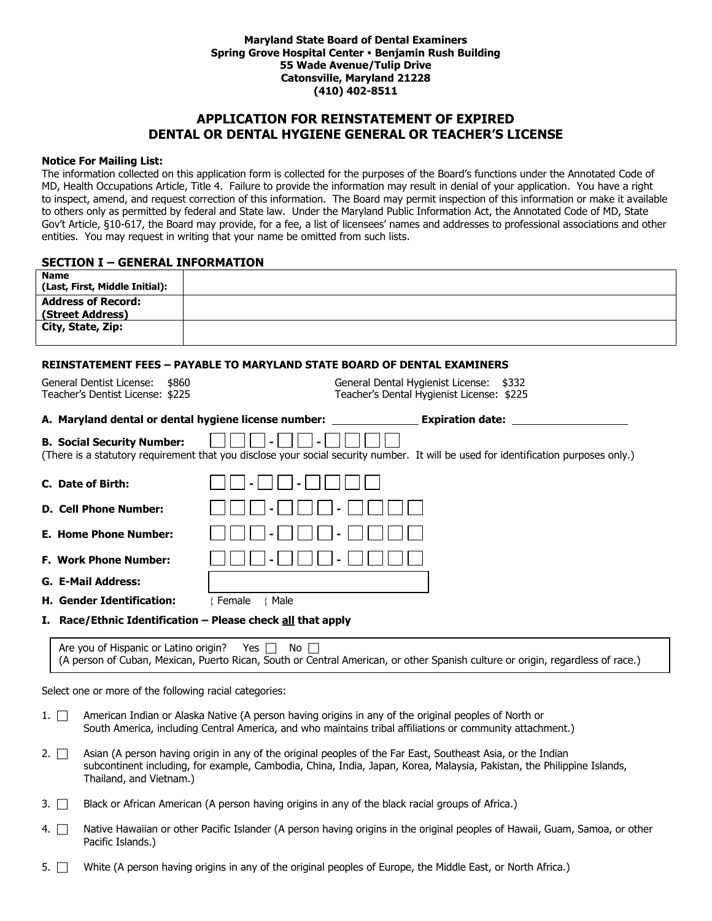#### **Maryland State Board of Dental Examiners Spring Grove Hospital Center Benjamin Rush Building 55 Wade Avenue/Tulip Drive Catonsville, Maryland 21228 (410) 402-8511**

# **APPLICATION FOR REINSTATEMENT OF EXPIRED DENTAL OR DENTAL HYGIENE GENERAL OR TEACHER'S LICENSE**

### **Notice For Mailing List:**

The information collected on this application form is collected for the purposes of the Board's functions under the Annotated Code of MD, Health Occupations Article, Title 4. Failure to provide the information may result in denial of your application. You have a right to inspect, amend, and request correction of this information. The Board may permit inspection of this information or make it available to others only as permitted by federal and State law. Under the Maryland Public Information Act, the Annotated Code of MD, State Gov't Article, §10-617, the Board may provide, for a fee, a list of licensees' names and addresses to professional associations and other entities. You may request in writing that your name be omitted from such lists.

### **SECTION I – GENERAL INFORMATION**

| <b>Name</b><br>(Last, First, Middle Initial):               |                                                                                                                                                                                                                                       |
|-------------------------------------------------------------|---------------------------------------------------------------------------------------------------------------------------------------------------------------------------------------------------------------------------------------|
| <b>Address of Record:</b>                                   |                                                                                                                                                                                                                                       |
| (Street Address)<br>City, State, Zip:                       |                                                                                                                                                                                                                                       |
|                                                             |                                                                                                                                                                                                                                       |
|                                                             | <b>REINSTATEMENT FEES - PAYABLE TO MARYLAND STATE BOARD OF DENTAL EXAMINERS</b>                                                                                                                                                       |
| General Dentist License:<br>\$860                           | General Dental Hygienist License: \$332                                                                                                                                                                                               |
| Teacher's Dentist License: \$225                            | Teacher's Dental Hygienist License: \$225                                                                                                                                                                                             |
| A. Maryland dental or dental hygiene license number:        | <b>Expiration date:</b>                                                                                                                                                                                                               |
| <b>B. Social Security Number:</b>                           |                                                                                                                                                                                                                                       |
|                                                             | (There is a statutory requirement that you disclose your social security number. It will be used for identification purposes only.)                                                                                                   |
| C. Date of Birth:                                           |                                                                                                                                                                                                                                       |
| <b>D. Cell Phone Number:</b>                                |                                                                                                                                                                                                                                       |
| <b>E. Home Phone Number:</b>                                |                                                                                                                                                                                                                                       |
| <b>F. Work Phone Number:</b>                                |                                                                                                                                                                                                                                       |
| G. E-Mail Address:                                          |                                                                                                                                                                                                                                       |
| H. Gender Identification:                                   | {Female<br>{ Male                                                                                                                                                                                                                     |
| I. Race/Ethnic Identification - Please check all that apply |                                                                                                                                                                                                                                       |
| Are you of Hispanic or Latino origin? Yes $\Box$            | No<br>(A person of Cuban, Mexican, Puerto Rican, South or Central American, or other Spanish culture or origin, regardless of race.)                                                                                                  |
| Select one or more of the following racial categories:      |                                                                                                                                                                                                                                       |
| $1. \mid \cdot$                                             | American Indian or Alaska Native (A person having origins in any of the original peoples of North or<br>South America, including Central America, and who maintains tribal affiliations or community attachment.)                     |
| $2. \Box$<br>Thailand, and Vietnam.)                        | Asian (A person having origin in any of the original peoples of the Far East, Southeast Asia, or the Indian<br>subcontinent including, for example, Cambodia, China, India, Japan, Korea, Malaysia, Pakistan, the Philippine Islands, |
| 3. I I                                                      | Black or African American (A person having origins in any of the black racial groups of Africa.)                                                                                                                                      |

- 4. <sup>N</sup>ative Hawaiian or other Pacific Islander (A person having origins in the original peoples of Hawaii, Guam, Samoa, or other Pacific Islands.)
- 5.  $\Box$  White (A person having origins in any of the original peoples of Europe, the Middle East, or North Africa.)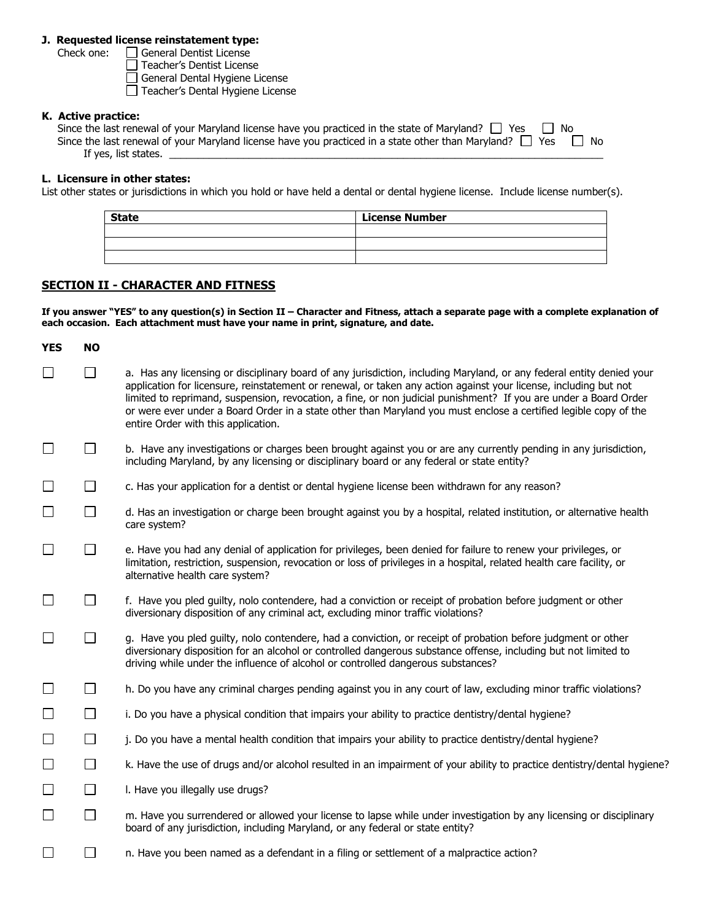## **J. Requested license reinstatement type:**

Check one:  $\Box$  General Dentist License

Teacher's Dentist License

General Dental Hygiene License

Teacher's Dental Hygiene License

## **K. Active practice:**

| Since the last renewal of your Maryland license have you practiced in the state of Maryland? $\Box$ Yes $\Box$ No |     |
|-------------------------------------------------------------------------------------------------------------------|-----|
| Since the last renewal of your Maryland license have you practiced in a state other than Maryland? $\Box$ Yes     | No. |
| If yes, list states.                                                                                              |     |

## **L. Licensure in other states:**

List other states or jurisdictions in which you hold or have held a dental or dental hygiene license. Include license number(s).

| <b>State</b> | <b>License Number</b> |
|--------------|-----------------------|
|              |                       |
|              |                       |
|              |                       |

# **SECTION II - CHARACTER AND FITNESS**

**If you answer "YES" to any question(s) in Section II – Character and Fitness, attach a separate page with a complete explanation of each occasion. Each attachment must have your name in print, signature, and date.** 

| <b>YES</b> | <b>NO</b> |                                                                                                                                                                                                                                                                                                                                                                                                                                                                                                                          |
|------------|-----------|--------------------------------------------------------------------------------------------------------------------------------------------------------------------------------------------------------------------------------------------------------------------------------------------------------------------------------------------------------------------------------------------------------------------------------------------------------------------------------------------------------------------------|
|            | $\Box$    | a. Has any licensing or disciplinary board of any jurisdiction, including Maryland, or any federal entity denied your<br>application for licensure, reinstatement or renewal, or taken any action against your license, including but not<br>limited to reprimand, suspension, revocation, a fine, or non judicial punishment? If you are under a Board Order<br>or were ever under a Board Order in a state other than Maryland you must enclose a certified legible copy of the<br>entire Order with this application. |
| ⊔          | ⊔         | b. Have any investigations or charges been brought against you or are any currently pending in any jurisdiction,<br>including Maryland, by any licensing or disciplinary board or any federal or state entity?                                                                                                                                                                                                                                                                                                           |
| $\Box$     | $\Box$    | c. Has your application for a dentist or dental hygiene license been withdrawn for any reason?                                                                                                                                                                                                                                                                                                                                                                                                                           |
| ⊔          | $\Box$    | d. Has an investigation or charge been brought against you by a hospital, related institution, or alternative health<br>care system?                                                                                                                                                                                                                                                                                                                                                                                     |
| $\Box$     | $\Box$    | e. Have you had any denial of application for privileges, been denied for failure to renew your privileges, or<br>limitation, restriction, suspension, revocation or loss of privileges in a hospital, related health care facility, or<br>alternative health care system?                                                                                                                                                                                                                                               |
|            | $\Box$    | f. Have you pled guilty, nolo contendere, had a conviction or receipt of probation before judgment or other<br>diversionary disposition of any criminal act, excluding minor traffic violations?                                                                                                                                                                                                                                                                                                                         |
| $\Box$     | $\Box$    | g. Have you pled quilty, nolo contendere, had a conviction, or receipt of probation before judgment or other<br>diversionary disposition for an alcohol or controlled dangerous substance offense, including but not limited to<br>driving while under the influence of alcohol or controlled dangerous substances?                                                                                                                                                                                                      |
|            | $\Box$    | h. Do you have any criminal charges pending against you in any court of law, excluding minor traffic violations?                                                                                                                                                                                                                                                                                                                                                                                                         |
| $\Box$     | $\Box$    | i. Do you have a physical condition that impairs your ability to practice dentistry/dental hygiene?                                                                                                                                                                                                                                                                                                                                                                                                                      |
| $\Box$     | $\Box$    | j. Do you have a mental health condition that impairs your ability to practice dentistry/dental hygiene?                                                                                                                                                                                                                                                                                                                                                                                                                 |
| $\Box$     | $\Box$    | k. Have the use of drugs and/or alcohol resulted in an impairment of your ability to practice dentistry/dental hygiene?                                                                                                                                                                                                                                                                                                                                                                                                  |
| $\Box$     | $\Box$    | I. Have you illegally use drugs?                                                                                                                                                                                                                                                                                                                                                                                                                                                                                         |
| $\Box$     | $\Box$    | m. Have you surrendered or allowed your license to lapse while under investigation by any licensing or disciplinary<br>board of any jurisdiction, including Maryland, or any federal or state entity?                                                                                                                                                                                                                                                                                                                    |
|            | $\Box$    | n. Have you been named as a defendant in a filing or settlement of a malpractice action?                                                                                                                                                                                                                                                                                                                                                                                                                                 |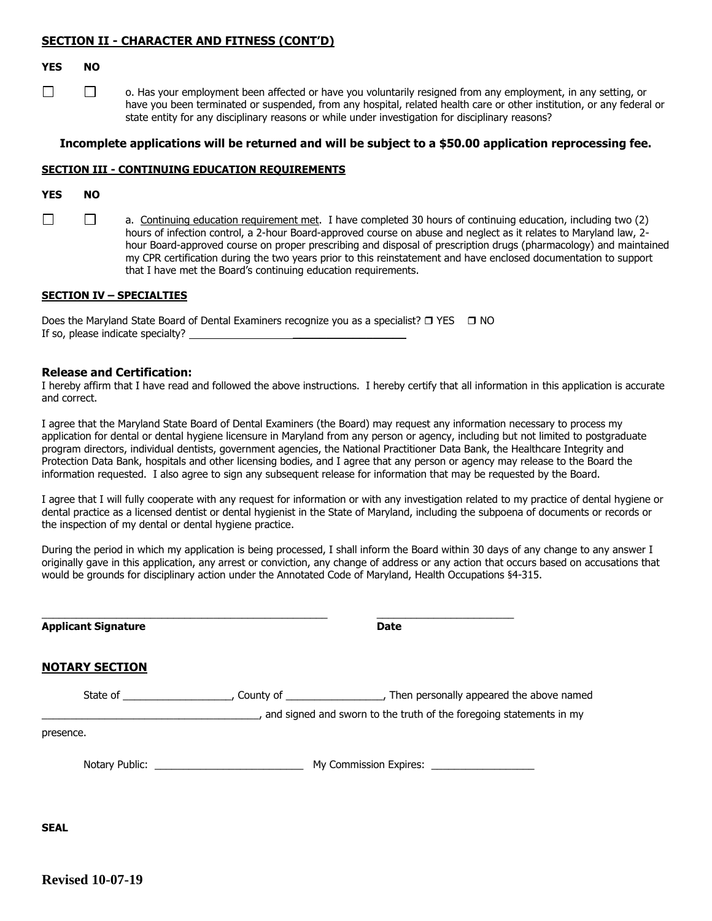## **SECTION II - CHARACTER AND FITNESS (CONT'D)**

### **YES NO**

 $\Box$ 

 $\Box$ o. Has your employment been affected or have you voluntarily resigned from any employment, in any setting, or have you been terminated or suspended, from any hospital, related health care or other institution, or any federal or state entity for any disciplinary reasons or while under investigation for disciplinary reasons?

## **Incomplete applications will be returned and will be subject to a \$50.00 application reprocessing fee.**

## **SECTION III - CONTINUING EDUCATION REQUIREMENTS**

## **YES NO**

 $\Box$  $\Box$ a. Continuing education requirement met. I have completed 30 hours of continuing education, including two (2) hours of infection control, a 2-hour Board-approved course on abuse and neglect as it relates to Maryland law, 2 hour Board-approved course on proper prescribing and disposal of prescription drugs (pharmacology) and maintained my CPR certification during the two years prior to this reinstatement and have enclosed documentation to support that I have met the Board's continuing education requirements.

### **SECTION IV – SPECIALTIES**

Does the Maryland State Board of Dental Examiners recognize you as a specialist?  $\Box$  YES  $\Box$  NO If so, please indicate specialty? \_

### **Release and Certification:**

I hereby affirm that I have read and followed the above instructions. I hereby certify that all information in this application is accurate and correct.

I agree that the Maryland State Board of Dental Examiners (the Board) may request any information necessary to process my application for dental or dental hygiene licensure in Maryland from any person or agency, including but not limited to postgraduate program directors, individual dentists, government agencies, the National Practitioner Data Bank, the Healthcare Integrity and Protection Data Bank, hospitals and other licensing bodies, and I agree that any person or agency may release to the Board the information requested. I also agree to sign any subsequent release for information that may be requested by the Board.

I agree that I will fully cooperate with any request for information or with any investigation related to my practice of dental hygiene or dental practice as a licensed dentist or dental hygienist in the State of Maryland, including the subpoena of documents or records or the inspection of my dental or dental hygiene practice.

During the period in which my application is being processed, I shall inform the Board within 30 days of any change to any answer I originally gave in this application, any arrest or conviction, any change of address or any action that occurs based on accusations that would be grounds for disciplinary action under the Annotated Code of Maryland, Health Occupations §4-315.

| <b>Applicant Signature</b> | <b>Date</b>                                                         |  |
|----------------------------|---------------------------------------------------------------------|--|
| <b>NOTARY SECTION</b>      |                                                                     |  |
|                            | and signed and sworn to the truth of the foregoing statements in my |  |
| presence.                  |                                                                     |  |
|                            | My Commission Expires: ____________________                         |  |
|                            |                                                                     |  |

**SEAL**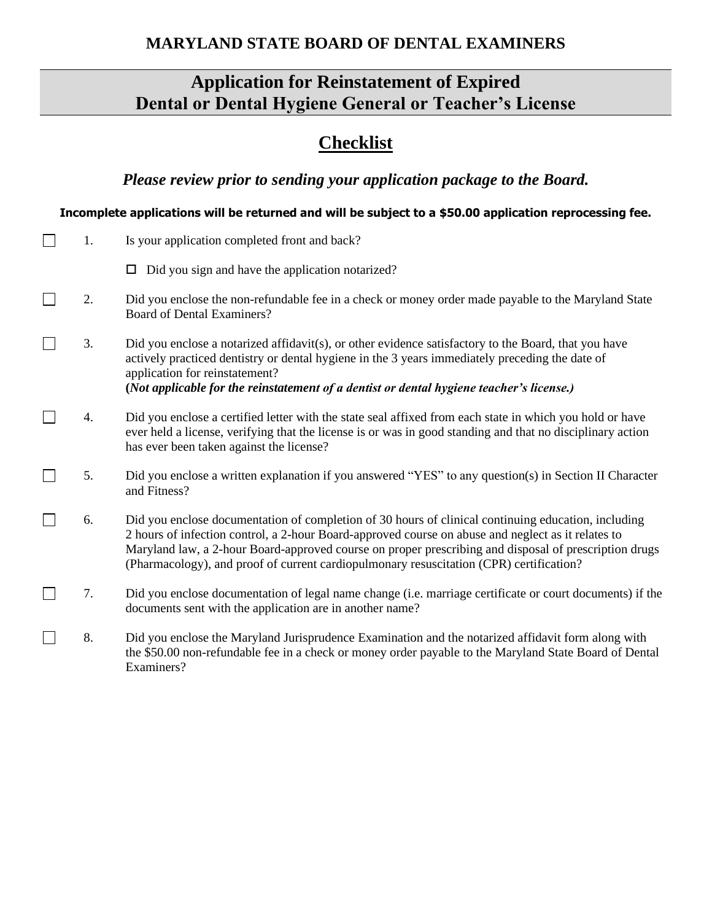# **MARYLAND STATE BOARD OF DENTAL EXAMINERS**

# **Application for Reinstatement of Expired Dental or Dental Hygiene General or Teacher's License**

# **Checklist**

*Please review prior to sending your application package to the Board.*

# **Incomplete applications will be returned and will be subject to a \$50.00 application reprocessing fee.**

| 1. | Is your application completed front and back?                                                                                                                                                                                                                                                                                                                                                                 |
|----|---------------------------------------------------------------------------------------------------------------------------------------------------------------------------------------------------------------------------------------------------------------------------------------------------------------------------------------------------------------------------------------------------------------|
|    | Did you sign and have the application notarized?<br>□                                                                                                                                                                                                                                                                                                                                                         |
| 2. | Did you enclose the non-refundable fee in a check or money order made payable to the Maryland State<br><b>Board of Dental Examiners?</b>                                                                                                                                                                                                                                                                      |
| 3. | Did you enclose a notarized affidavit(s), or other evidence satisfactory to the Board, that you have<br>actively practiced dentistry or dental hygiene in the 3 years immediately preceding the date of<br>application for reinstatement?<br>(Not applicable for the reinstatement of a dentist or dental hygiene teacher's license.)                                                                         |
| 4. | Did you enclose a certified letter with the state seal affixed from each state in which you hold or have<br>ever held a license, verifying that the license is or was in good standing and that no disciplinary action<br>has ever been taken against the license?                                                                                                                                            |
| 5. | Did you enclose a written explanation if you answered "YES" to any question(s) in Section II Character<br>and Fitness?                                                                                                                                                                                                                                                                                        |
| 6. | Did you enclose documentation of completion of 30 hours of clinical continuing education, including<br>2 hours of infection control, a 2-hour Board-approved course on abuse and neglect as it relates to<br>Maryland law, a 2-hour Board-approved course on proper prescribing and disposal of prescription drugs<br>(Pharmacology), and proof of current cardiopulmonary resuscitation (CPR) certification? |
| 7. | Did you enclose documentation of legal name change (i.e. marriage certificate or court documents) if the<br>documents sent with the application are in another name?                                                                                                                                                                                                                                          |
| 8. | Did you enclose the Maryland Jurisprudence Examination and the notarized affidavit form along with<br>the \$50.00 non-refundable fee in a check or money order payable to the Maryland State Board of Dental<br>Examiners?                                                                                                                                                                                    |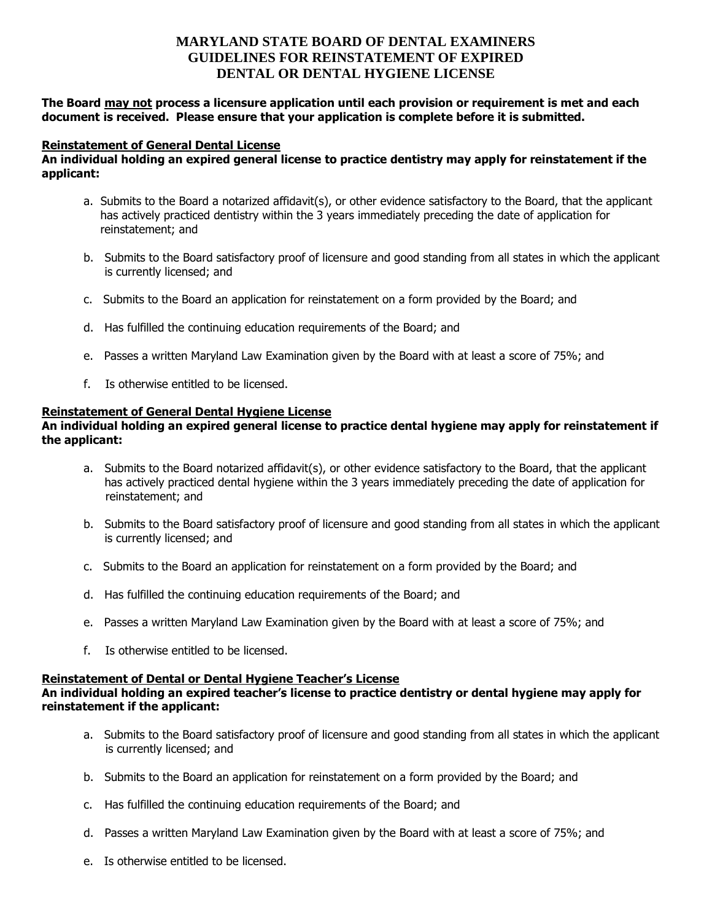# **MARYLAND STATE BOARD OF DENTAL EXAMINERS GUIDELINES FOR REINSTATEMENT OF EXPIRED DENTAL OR DENTAL HYGIENE LICENSE**

# **The Board may not process a licensure application until each provision or requirement is met and each document is received. Please ensure that your application is complete before it is submitted.**

## **Reinstatement of General Dental License**

# **An individual holding an expired general license to practice dentistry may apply for reinstatement if the applicant:**

- a. Submits to the Board a notarized affidavit(s), or other evidence satisfactory to the Board, that the applicant has actively practiced dentistry within the 3 years immediately preceding the date of application for reinstatement; and
- b. Submits to the Board satisfactory proof of licensure and good standing from all states in which the applicant is currently licensed; and
- c. Submits to the Board an application for reinstatement on a form provided by the Board; and
- d. Has fulfilled the continuing education requirements of the Board; and
- e. Passes a written Maryland Law Examination given by the Board with at least a score of 75%; and
- f. Is otherwise entitled to be licensed.

## **Reinstatement of General Dental Hygiene License**

# **An individual holding an expired general license to practice dental hygiene may apply for reinstatement if the applicant:**

- a. Submits to the Board notarized affidavit(s), or other evidence satisfactory to the Board, that the applicant has actively practiced dental hygiene within the 3 years immediately preceding the date of application for reinstatement; and
- b. Submits to the Board satisfactory proof of licensure and good standing from all states in which the applicant is currently licensed; and
- c. Submits to the Board an application for reinstatement on a form provided by the Board; and
- d. Has fulfilled the continuing education requirements of the Board; and
- e. Passes a written Maryland Law Examination given by the Board with at least a score of 75%; and
- f. Is otherwise entitled to be licensed.

# **Reinstatement of Dental or Dental Hygiene Teacher's License**

# **An individual holding an expired teacher's license to practice dentistry or dental hygiene may apply for reinstatement if the applicant:**

- a. Submits to the Board satisfactory proof of licensure and good standing from all states in which the applicant is currently licensed; and
- b. Submits to the Board an application for reinstatement on a form provided by the Board; and
- c. Has fulfilled the continuing education requirements of the Board; and
- d. Passes a written Maryland Law Examination given by the Board with at least a score of 75%; and
- e. Is otherwise entitled to be licensed.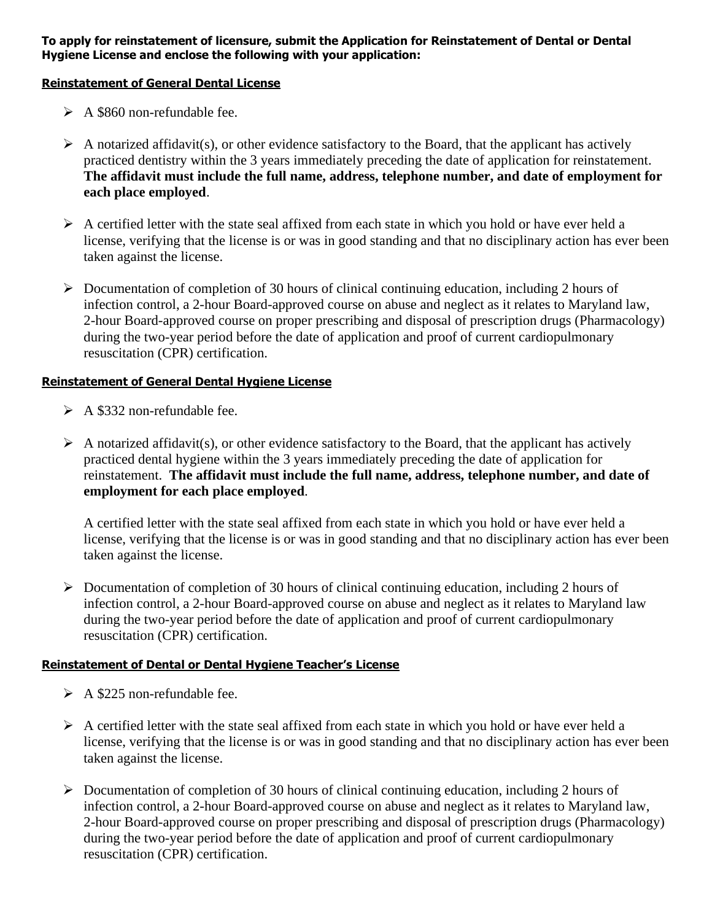# **To apply for reinstatement of licensure, submit the Application for Reinstatement of Dental or Dental Hygiene License and enclose the following with your application:**

# **Reinstatement of General Dental License**

- $\triangleright$  A \$860 non-refundable fee.
- $\triangleright$  A notarized affidavit(s), or other evidence satisfactory to the Board, that the applicant has actively practiced dentistry within the 3 years immediately preceding the date of application for reinstatement. **The affidavit must include the full name, address, telephone number, and date of employment for each place employed**.
- $\triangleright$  A certified letter with the state seal affixed from each state in which you hold or have ever held a license, verifying that the license is or was in good standing and that no disciplinary action has ever been taken against the license.
- $\triangleright$  Documentation of completion of 30 hours of clinical continuing education, including 2 hours of infection control, a 2-hour Board-approved course on abuse and neglect as it relates to Maryland law, 2-hour Board-approved course on proper prescribing and disposal of prescription drugs (Pharmacology) during the two-year period before the date of application and proof of current cardiopulmonary resuscitation (CPR) certification.

# **Reinstatement of General Dental Hygiene License**

- $\triangleright$  A \$332 non-refundable fee.
- $\triangleright$  A notarized affidavit(s), or other evidence satisfactory to the Board, that the applicant has actively practiced dental hygiene within the 3 years immediately preceding the date of application for reinstatement. **The affidavit must include the full name, address, telephone number, and date of employment for each place employed**.

A certified letter with the state seal affixed from each state in which you hold or have ever held a license, verifying that the license is or was in good standing and that no disciplinary action has ever been taken against the license.

➢ Documentation of completion of 30 hours of clinical continuing education, including 2 hours of infection control, a 2-hour Board-approved course on abuse and neglect as it relates to Maryland law during the two-year period before the date of application and proof of current cardiopulmonary resuscitation (CPR) certification.

# **Reinstatement of Dental or Dental Hygiene Teacher's License**

- $\triangleright$  A \$225 non-refundable fee.
- $\triangleright$  A certified letter with the state seal affixed from each state in which you hold or have ever held a license, verifying that the license is or was in good standing and that no disciplinary action has ever been taken against the license.
- ➢ Documentation of completion of 30 hours of clinical continuing education, including 2 hours of infection control, a 2-hour Board-approved course on abuse and neglect as it relates to Maryland law, 2-hour Board-approved course on proper prescribing and disposal of prescription drugs (Pharmacology) during the two-year period before the date of application and proof of current cardiopulmonary resuscitation (CPR) certification.